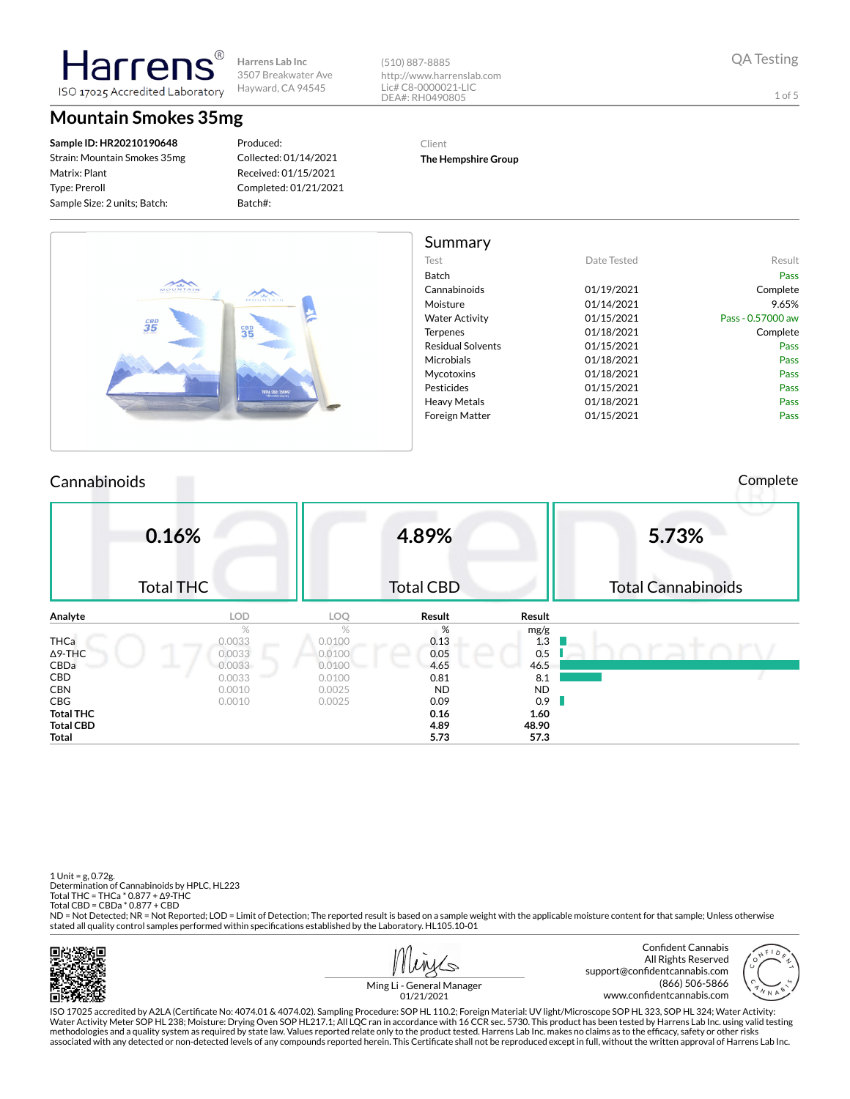(510) 887-8885 http://www.harrenslab.com Lic# C8-0000021-LIC DEA#: RH0490805

1 of 5

### **Mountain Smokes 35mg**

ISO 17025 Accredited Laboratory

**Sample ID: HR20210190648** Strain: Mountain Smokes 35mg Matrix: Plant Type: Preroll Sample Size: 2 units; Batch:

Harrer

Produced: Collected: 01/14/2021 Received: 01/15/2021 Completed: 01/21/2021 Batch#:

### Client

**The Hempshire Group**

|                   |             | Summary                  |                                      |
|-------------------|-------------|--------------------------|--------------------------------------|
| Result            | Date Tested | Test                     |                                      |
| Pass              |             | Batch                    |                                      |
| Complete          | 01/19/2021  | Cannabinoids             | MOUNTAIN                             |
| 9.65%             | 01/14/2021  | Moisture                 | MOUNTAIN                             |
| Pass - 0.57000 aw | 01/15/2021  | <b>Water Activity</b>    |                                      |
| Complete          | 01/18/2021  | Terpenes                 | $\mathbf{\hat{3}\bar{5}}^{BD}$<br>35 |
| Pass              | 01/15/2021  | <b>Residual Solvents</b> |                                      |
| Pass              | 01/18/2021  | Microbials               |                                      |
| Pass              | 01/18/2021  | Mycotoxins               |                                      |
| Pass              | 01/15/2021  | Pesticides               | TOTAL CBD: 350MG*                    |
| Pass              | 01/18/2021  | <b>Heavy Metals</b>      |                                      |
| Pass              | 01/15/2021  | <b>Foreign Matter</b>    |                                      |

#### Cannabinoids Complete

|                  | 0.16%<br><b>Total THC</b> |        | 4.89%<br><b>Total CBD</b> |           | 5.73%<br><b>Total Cannabinoids</b> |
|------------------|---------------------------|--------|---------------------------|-----------|------------------------------------|
| Analyte          | <b>LOD</b>                | LOQ    | Result                    | Result    |                                    |
|                  | $\%$                      | %      | %                         | mg/g      |                                    |
| <b>THCa</b>      | 0.0033                    | 0.0100 | 0.13                      | 1.3       |                                    |
| $\Delta$ 9-THC   | 0.0033                    | 0.0100 | 0.05                      | 0.5       |                                    |
| CBDa             | 0.0033<br>__              | 0.0100 | 4.65                      | 46.5      |                                    |
| CBD              | 0.0033                    | 0.0100 | 0.81                      | 8.1       |                                    |
| <b>CBN</b>       | 0.0010                    | 0.0025 | <b>ND</b>                 | <b>ND</b> |                                    |
| <b>CBG</b>       | 0.0010                    | 0.0025 | 0.09                      | 0.9       |                                    |
| <b>Total THC</b> |                           |        | 0.16                      | 1.60      |                                    |
| <b>Total CBD</b> |                           |        | 4.89                      | 48.90     |                                    |
| Total            |                           |        | 5.73                      | 57.3      |                                    |

1 Unit = g, 0.72g. Determination of Cannabinoids by HPLC, HL223 Total THC = THCa \* 0.877 + ∆9-THC Total CBD = CBDa \* 0.877 + CBD ND = Not Detected; NR = Not Reported; LOD = Limit of Detection; The reported result is based on a sample weight with the applicable moisture content for that sample; Unless otherwise stated all quality control samples performed within specifications established by the Laboratory. HL105.10-01

面解现象



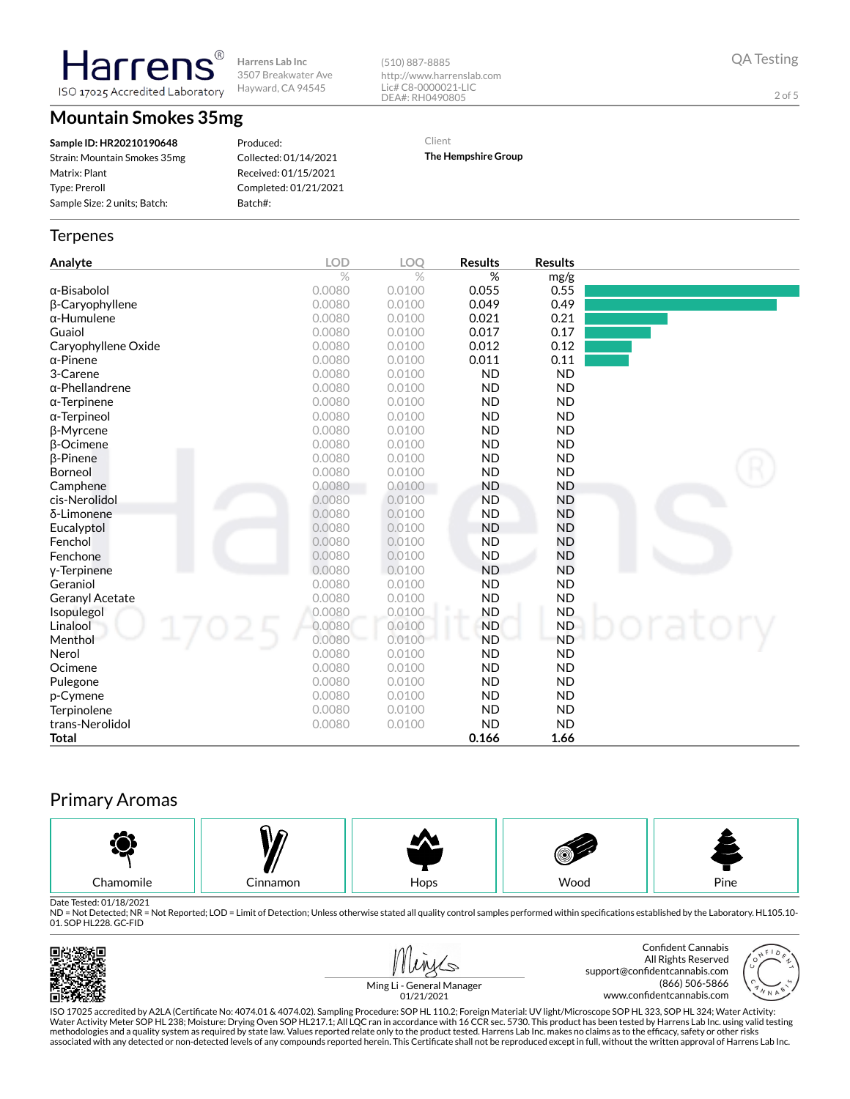**Harrens Lab Inc** 3507 Breakwater Ave Hayward, CA 94545 ISO 17025 Accredited Laboratory

(510) 887-8885 http://www.harrenslab.com Lic# C8-0000021-LIC DEA#: RH0490805

QA Testing

2 of 5

### **Mountain Smokes 35mg**

**Harrens** 

**Sample ID: HR20210190648** Strain: Mountain Smokes 35mg Matrix: Plant Type: Preroll Sample Size: 2 units; Batch:

Produced: Collected: 01/14/2021 Received: 01/15/2021 Completed: 01/21/2021 Batch#:

Client **The Hempshire Group**

# **Terpenes**

| Analyte                | <b>LOD</b> | <b>LOO</b>    | <b>Results</b> | <b>Results</b> |       |
|------------------------|------------|---------------|----------------|----------------|-------|
|                        | $\%$       | $\frac{1}{2}$ | %              | mg/g           |       |
| α-Bisabolol            | 0.0080     | 0.0100        | 0.055          | 0.55           |       |
| β-Caryophyllene        | 0.0080     | 0.0100        | 0.049          | 0.49           |       |
| $\alpha$ -Humulene     | 0.0080     | 0.0100        | 0.021          | 0.21           |       |
| Guaiol                 | 0.0080     | 0.0100        | 0.017          | 0.17           |       |
| Caryophyllene Oxide    | 0.0080     | 0.0100        | 0.012          | 0.12           |       |
| $\alpha$ -Pinene       | 0.0080     | 0.0100        | 0.011          | 0.11           |       |
| 3-Carene               | 0.0080     | 0.0100        | <b>ND</b>      | <b>ND</b>      |       |
| $\alpha$ -Phellandrene | 0.0080     | 0.0100        | <b>ND</b>      | <b>ND</b>      |       |
| $\alpha$ -Terpinene    | 0.0080     | 0.0100        | <b>ND</b>      | <b>ND</b>      |       |
| $\alpha$ -Terpineol    | 0.0080     | 0.0100        | <b>ND</b>      | <b>ND</b>      |       |
| β-Myrcene              | 0.0080     | 0.0100        | <b>ND</b>      | <b>ND</b>      |       |
| <b>B-Ocimene</b>       | 0.0080     | 0.0100        | <b>ND</b>      | <b>ND</b>      |       |
| <b>B-Pinene</b>        | 0.0080     | 0.0100        | <b>ND</b>      | <b>ND</b>      |       |
| Borneol                | 0.0080     | 0.0100        | <b>ND</b>      | <b>ND</b>      |       |
| Camphene               | 0.0080     | 0.0100        | <b>ND</b>      | <b>ND</b>      |       |
| cis-Nerolidol          | 0.0080     | 0.0100        | <b>ND</b>      | <b>ND</b>      |       |
| δ-Limonene             | 0.0080     | 0.0100        | <b>ND</b>      | <b>ND</b>      |       |
| Eucalyptol             | 0.0080     | 0.0100        | <b>ND</b>      | <b>ND</b>      |       |
| Fenchol                | 0.0080     | 0.0100        | <b>ND</b>      | <b>ND</b>      |       |
| Fenchone               | 0.0080     | 0.0100        | <b>ND</b>      | <b>ND</b>      |       |
| y-Terpinene            | 0.0080     | 0.0100        | <b>ND</b>      | <b>ND</b>      |       |
| Geraniol               | 0.0080     | 0.0100        | <b>ND</b>      | <b>ND</b>      |       |
| Geranyl Acetate        | 0.0080     | 0.0100        | <b>ND</b>      | <b>ND</b>      |       |
| Isopulegol             | 0.0080     | 0.0100        | <b>ND</b>      | <b>ND</b>      |       |
| Linalool               | 0.0080     | 0.0100        | <b>ND</b>      | <b>ND</b>      | atory |
| Menthol                | 0.0080     | 0.0100        | <b>ND</b>      | <b>ND</b>      |       |
| Nerol                  | 0.0080     | 0.0100        | <b>ND</b>      | <b>ND</b>      |       |
| Ocimene                | 0.0080     | 0.0100        | <b>ND</b>      | <b>ND</b>      |       |
| Pulegone               | 0.0080     | 0.0100        | <b>ND</b>      | <b>ND</b>      |       |
| p-Cymene               | 0.0080     | 0.0100        | <b>ND</b>      | <b>ND</b>      |       |
| Terpinolene            | 0.0080     | 0.0100        | <b>ND</b>      | <b>ND</b>      |       |
| trans-Nerolidol        | 0.0080     | 0.0100        | <b>ND</b>      | <b>ND</b>      |       |
| <b>Total</b>           |            |               | 0.166          | 1.66           |       |

## Primary Aromas



Date Tested: 01/18/2021<br>ND = Not Detected; NR = Not Reported; LOD = Limit of Detection; Unless otherwise stated all quality control samples performed within specifications established by the Laboratory. HL105.10-01. SOP HL228. GC-FID









Ming Li - General Manager 01/21/2021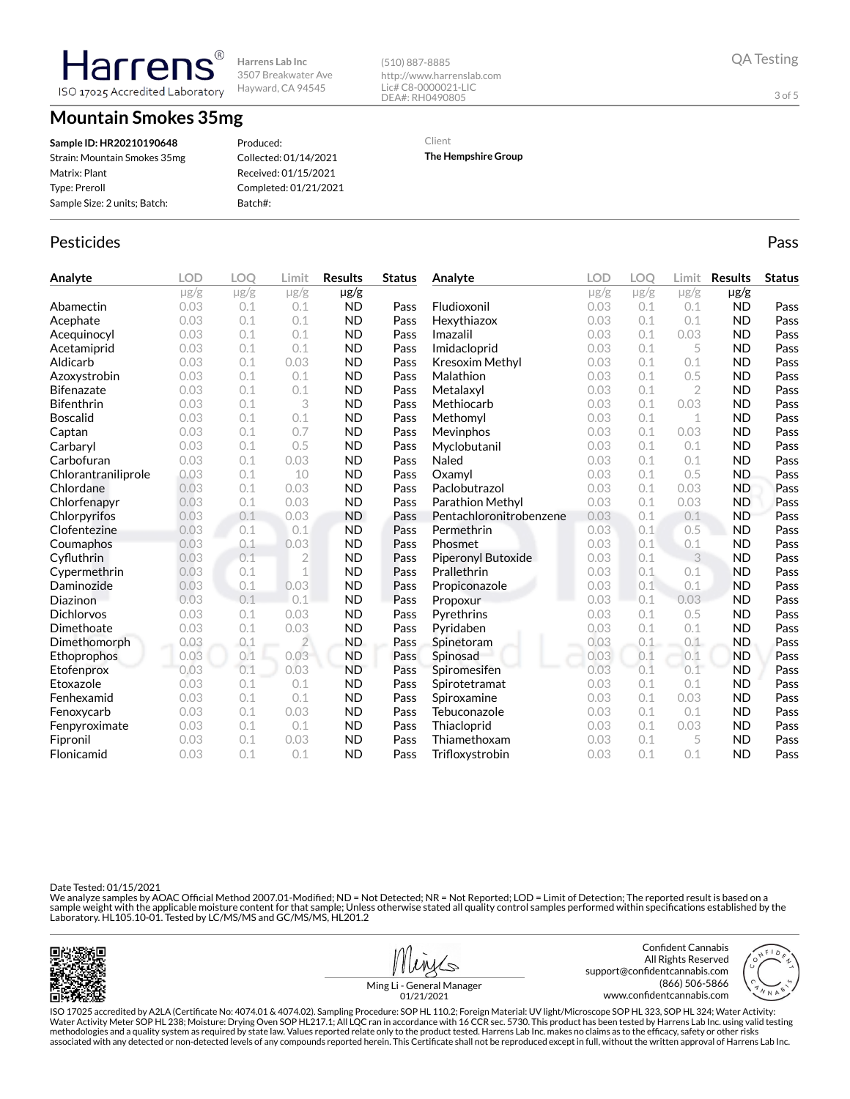**Mountain Smokes 35mg**

ISO 17025 Accredited Laboratory

**Sample ID: HR20210190648** Strain: Mountain Smokes 35mg Matrix: Plant Type: Preroll Sample Size: 2 units; Batch:

Harrer

Produced: Collected: 01/14/2021 Received: 01/15/2021 Completed: 01/21/2021 Batch#:

http://www.harrenslab.com Lic# C8-0000021-LIC DEA#: RH0490805

Client

(510) 887-8885

**The Hempshire Group**

### Pesticides **Passage Community Community Community** Passes and the extension of the extension of the extension of the extension of the extension of the extension of the extension of the extension of the extension of the ext

| Analyte             | <b>LOD</b> | <b>LOO</b> | Limit          | <b>Results</b> | <b>Status</b> | Analyte                 | <b>LOD</b> | LOO       | Limit          | <b>Results</b> | <b>Status</b> |
|---------------------|------------|------------|----------------|----------------|---------------|-------------------------|------------|-----------|----------------|----------------|---------------|
|                     | $\mu$ g/g  | $\mu$ g/g  | $\mu$ g/g      | $\mu$ g/g      |               |                         | $\mu$ g/g  | $\mu$ g/g | $\mu$ g/g      | $\mu$ g/g      |               |
| Abamectin           | 0.03       | 0.1        | 0.1            | <b>ND</b>      | Pass          | Fludioxonil             | 0.03       | 0.1       | 0.1            | <b>ND</b>      | Pass          |
| Acephate            | 0.03       | 0.1        | 0.1            | <b>ND</b>      | Pass          | Hexythiazox             | 0.03       | 0.1       | 0.1            | <b>ND</b>      | Pass          |
| Acequinocyl         | 0.03       | 0.1        | 0.1            | <b>ND</b>      | Pass          | Imazalil                | 0.03       | 0.1       | 0.03           | <b>ND</b>      | Pass          |
| Acetamiprid         | 0.03       | 0.1        | 0.1            | <b>ND</b>      | Pass          | Imidacloprid            | 0.03       | 0.1       | 5              | <b>ND</b>      | Pass          |
| Aldicarb            | 0.03       | 0.1        | 0.03           | <b>ND</b>      | Pass          | Kresoxim Methyl         | 0.03       | 0.1       | 0.1            | <b>ND</b>      | Pass          |
| Azoxystrobin        | 0.03       | 0.1        | 0.1            | <b>ND</b>      | Pass          | Malathion               | 0.03       | 0.1       | 0.5            | <b>ND</b>      | Pass          |
| <b>Bifenazate</b>   | 0.03       | 0.1        | 0.1            | <b>ND</b>      | Pass          | Metalaxyl               | 0.03       | 0.1       | $\overline{2}$ | <b>ND</b>      | Pass          |
| <b>Bifenthrin</b>   | 0.03       | 0.1        | 3              | <b>ND</b>      | Pass          | Methiocarb              | 0.03       | 0.1       | 0.03           | <b>ND</b>      | Pass          |
| <b>Boscalid</b>     | 0.03       | 0.1        | 0.1            | <b>ND</b>      | Pass          | Methomyl                | 0.03       | 0.1       | 1              | <b>ND</b>      | Pass          |
| Captan              | 0.03       | 0.1        | 0.7            | <b>ND</b>      | Pass          | Mevinphos               | 0.03       | 0.1       | 0.03           | <b>ND</b>      | Pass          |
| Carbaryl            | 0.03       | 0.1        | 0.5            | <b>ND</b>      | Pass          | Myclobutanil            | 0.03       | 0.1       | 0.1            | <b>ND</b>      | Pass          |
| Carbofuran          | 0.03       | 0.1        | 0.03           | <b>ND</b>      | Pass          | Naled                   | 0.03       | 0.1       | 0.1            | <b>ND</b>      | Pass          |
| Chlorantraniliprole | 0.03       | 0.1        | 10             | <b>ND</b>      | Pass          | Oxamyl                  | 0.03       | 0.1       | 0.5            | <b>ND</b>      | Pass          |
| Chlordane           | 0.03       | 0.1        | 0.03           | <b>ND</b>      | Pass          | Paclobutrazol           | 0.03       | 0.1       | 0.03           | <b>ND</b>      | Pass          |
| Chlorfenapyr        | 0.03       | 0.1        | 0.03           | <b>ND</b>      | Pass          | Parathion Methyl        | 0.03       | 0.1       | 0.03           | <b>ND</b>      | Pass          |
| Chlorpyrifos        | 0.03       | 0.1        | 0.03           | <b>ND</b>      | Pass          | Pentachloronitrobenzene | 0.03       | 0.1       | 0.1            | <b>ND</b>      | Pass          |
| Clofentezine        | 0.03       | 0.1        | 0.1            | <b>ND</b>      | Pass          | Permethrin              | 0.03       | 0.1       | 0.5            | <b>ND</b>      | Pass          |
| Coumaphos           | 0.03       | 0.1        | 0.03           | <b>ND</b>      | Pass          | Phosmet                 | 0.03       | 0.1       | 0.1            | <b>ND</b>      | Pass          |
| Cyfluthrin          | 0.03       | 0.1        | $\overline{2}$ | <b>ND</b>      | Pass          | Piperonyl Butoxide      | 0.03       | 0.1       | 3              | <b>ND</b>      | Pass          |
| Cypermethrin        | 0.03       | 0.1        | 1              | <b>ND</b>      | Pass          | Prallethrin             | 0.03       | 0.1       | 0.1            | <b>ND</b>      | Pass          |
| Daminozide          | 0.03       | 0.1        | 0.03           | <b>ND</b>      | Pass          | Propiconazole           | 0.03       | 0.1       | 0.1            | <b>ND</b>      | Pass          |
| Diazinon            | 0.03       | 0.1        | 0.1            | <b>ND</b>      | Pass          | Propoxur                | 0.03       | 0.1       | 0.03           | <b>ND</b>      | Pass          |
| <b>Dichlorvos</b>   | 0.03       | 0.1        | 0.03           | <b>ND</b>      | Pass          | Pyrethrins              | 0.03       | 0.1       | 0.5            | <b>ND</b>      | Pass          |
| Dimethoate          | 0.03       | 0.1        | 0.03           | <b>ND</b>      | Pass          | Pyridaben               | 0.03       | 0.1       | 0.1            | <b>ND</b>      | Pass          |
| Dimethomorph        | 0.03       | 0.1        | $\overline{2}$ | <b>ND</b>      | Pass          | Spinetoram              | 0.03       | 0.1       | 0.1            | <b>ND</b>      | Pass          |
| Ethoprophos         | 0.03       | 0.1        | 0.03           | <b>ND</b>      | Pass          | Spinosad                | 0.03       | 0.1       | 0.1            | <b>ND</b>      | Pass          |
| Etofenprox          | 0.03       | 0.1        | 0.03           | <b>ND</b>      | Pass          | Spiromesifen            | 0.03       | 0.1       | 0.1            | <b>ND</b>      | Pass          |
| Etoxazole           | 0.03       | 0.1        | 0.1            | <b>ND</b>      | Pass          | Spirotetramat           | 0.03       | 0.1       | 0.1            | <b>ND</b>      | Pass          |
| Fenhexamid          | 0.03       | 0.1        | 0.1            | <b>ND</b>      | Pass          | Spiroxamine             | 0.03       | 0.1       | 0.03           | <b>ND</b>      | Pass          |
| Fenoxycarb          | 0.03       | 0.1        | 0.03           | <b>ND</b>      | Pass          | Tebuconazole            | 0.03       | 0.1       | 0.1            | <b>ND</b>      | Pass          |
| Fenpyroximate       | 0.03       | 0.1        | 0.1            | <b>ND</b>      | Pass          | Thiacloprid             | 0.03       | 0.1       | 0.03           | <b>ND</b>      | Pass          |
| Fipronil            | 0.03       | 0.1        | 0.03           | <b>ND</b>      | Pass          | Thiamethoxam            | 0.03       | 0.1       | 5              | <b>ND</b>      | Pass          |
| Flonicamid          | 0.03       | 0.1        | 0.1            | <b>ND</b>      | Pass          | Trifloxystrobin         | 0.03       | 0.1       | 0.1            | <b>ND</b>      | Pass          |

Date Tested: 01/15/2021

We analyze samples by AOAC Official Method 2007.01-Modified; ND = Not Detected; NR = Not Reported; LOD = Limit of Detection; The reported result is based on a sample weight with the applicable moisture content for that sample; Unless otherwise stated all quality control samples performed within specifications established by the<br>Laboratory. HL105.10-01. Tested by LC/MS/MS and GC/





Ming Li - General Manager

3 of 5

01/21/2021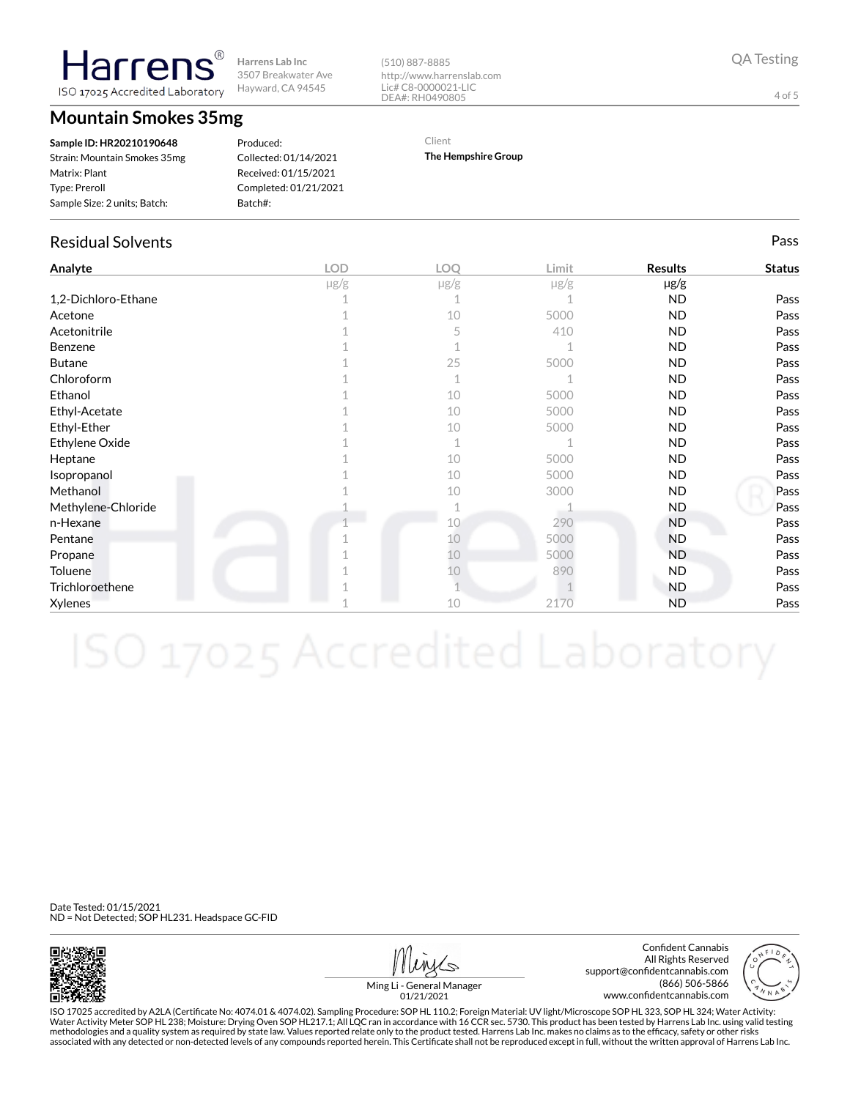**Harrens Lab Inc** 3507 Breakwater Ave Hayward, CA 94545 ISO 17025 Accredited Laboratory

**Mountain Smokes 35mg**

**Harrens** 

| Sample ID: HR20210190648     |
|------------------------------|
| Strain: Mountain Smokes 35mg |
| Matrix: Plant                |
| <b>Type: Preroll</b>         |
| Sample Size: 2 units; Batch: |
|                              |

Produced: Collected: 01/14/2021 Received: 01/15/2021 Completed: 01/21/2021 Batch#:

#### (510) 887-8885 http://www.harrenslab.com Lic# C8-0000021-LIC DEA#: RH0490805

Client

**The Hempshire Group**

## Residual Solvents Pass

| Analyte             | <b>LOD</b> | LOQ       | Limit     | <b>Results</b> | <b>Status</b> |
|---------------------|------------|-----------|-----------|----------------|---------------|
|                     | $\mu$ g/g  | $\mu$ g/g | $\mu$ g/g | µg/g           |               |
| 1,2-Dichloro-Ethane |            |           |           | ND.            | Pass          |
| Acetone             |            | 10        | 5000      | ND.            | Pass          |
| Acetonitrile        |            | 5         | 410       | ND.            | Pass          |
| Benzene             |            |           |           | <b>ND</b>      | Pass          |
| <b>Butane</b>       |            | 25        | 5000      | ND.            | Pass          |
| Chloroform          |            | 1         |           | <b>ND</b>      | Pass          |
| Ethanol             |            | 10        | 5000      | ND.            | Pass          |
| Ethyl-Acetate       |            | 10        | 5000      | ND.            | Pass          |
| Ethyl-Ether         |            | 10        | 5000      | ND.            | Pass          |
| Ethylene Oxide      |            | 1         |           | ND.            | Pass          |
| Heptane             |            | 10        | 5000      | ND.            | Pass          |
| Isopropanol         |            | 10        | 5000      | ND.            | Pass          |
| Methanol            |            | 10        | 3000      | ND.            | Pass          |
| Methylene-Chloride  |            |           |           | ND.            | Pass          |
| n-Hexane            |            | 10        | 290       | <b>ND</b>      | Pass          |
| Pentane             |            | 10        | 5000      | <b>ND</b>      | Pass          |
| Propane             |            | 10        | 5000      | <b>ND</b>      | Pass          |
| Toluene             |            | 10        | 890       | ND.            | Pass          |
| Trichloroethene     |            |           |           | ND.            | Pass          |
| Xylenes             |            | 10        | 2170      | <b>ND</b>      | Pass          |

Date Tested: 01/15/2021 ND = Not Detected; SOP HL231. Headspace GC-FID



Confident Cannabis All Rights Reserved support@confidentcannabis.com (866) 506-5866 www.confidentcannabis.com



Ming Li - General Manager 01/21/2021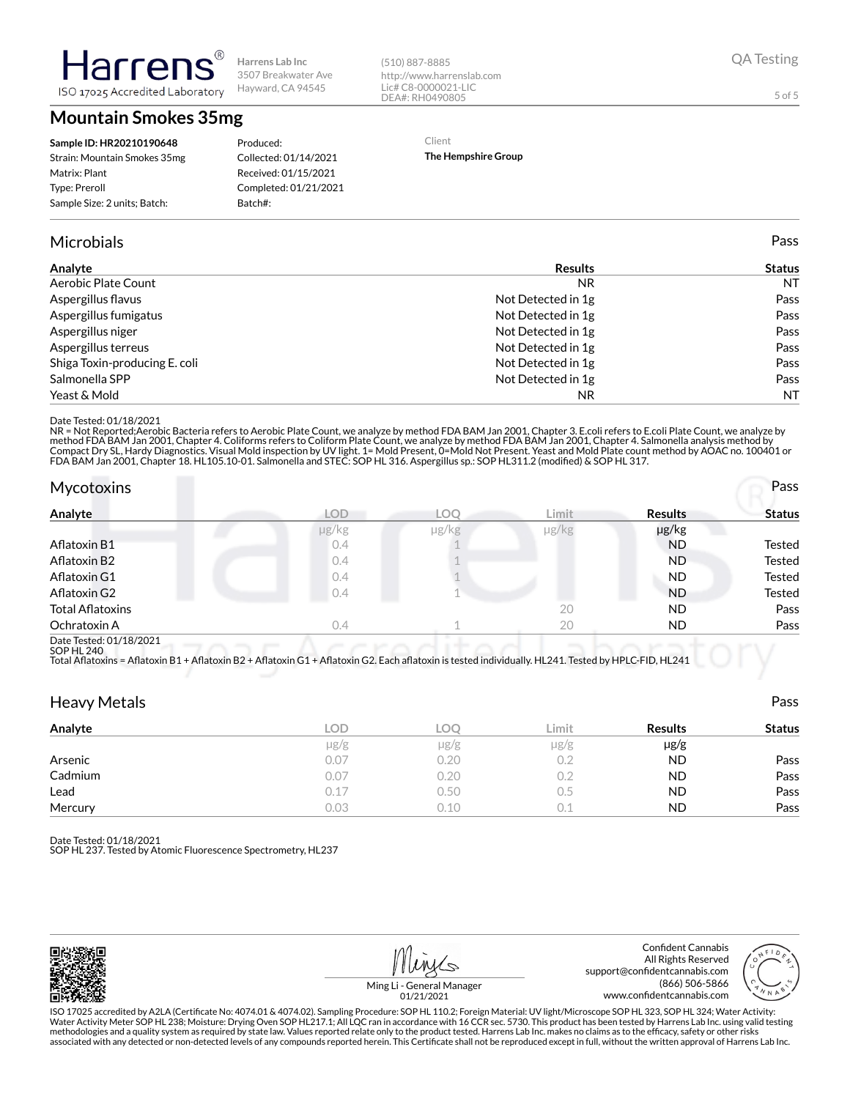**Mountain Smokes 35mg**

ISO 17025 Accredited Laboratory

Harrer

| Sample ID: HR20210190648     |
|------------------------------|
| Strain: Mountain Smokes 35mg |
| Matrix: Plant                |
| Type: Preroll                |
| Sample Size: 2 units; Batch: |
|                              |

#### Produced: Collected: 01/14/2021 Received: 01/15/2021 Completed: 01/21/2021 Batch#:

#### Microbials Pass

| Analyte                       | <b>Results</b>     | <b>Status</b> |
|-------------------------------|--------------------|---------------|
| Aerobic Plate Count           | N <sub>R</sub>     | <b>NT</b>     |
| Aspergillus flavus            | Not Detected in 1g | Pass          |
| Aspergillus fumigatus         | Not Detected in 1g | Pass          |
| Aspergillus niger             | Not Detected in 1g | Pass          |
| Aspergillus terreus           | Not Detected in 1g | Pass          |
| Shiga Toxin-producing E. coli | Not Detected in 1g | Pass          |
| Salmonella SPP                | Not Detected in 1g | Pass          |
| Yeast & Mold                  | NR.                | <b>NT</b>     |

(510) 887-8885

http://www.harrenslab.com Lic# C8-0000021-LIC DEA#: RH0490805

Client

**The Hempshire Group**

#### Date Tested: 01/18/2021

NR = Not Reported;Aerobic Bacteria refers to Aerobic Plate Count, we analyze by method FDA BAM Jan 2001, Chapter 3. E.coli refers to E.coli Plate Count, we analyze by<br>method FDA BAM Jan 2001, Chapter 4. Coliforms refers to

| <b>Mycotoxins</b>       |            |       |       |                | Pass   |
|-------------------------|------------|-------|-------|----------------|--------|
| Analyte                 | <b>LOD</b> | LOO   | Limit | <b>Results</b> | Status |
|                         | µg/kg      | µg/kg | µg/kg | µg/kg          |        |
| Aflatoxin B1            | 0.4        |       |       | <b>ND</b>      | Tested |
| Aflatoxin B2            | 0.4        |       |       | <b>ND</b>      | Tested |
| Aflatoxin G1            | 0.4        |       |       | <b>ND</b>      | Tested |
| Aflatoxin G2            | 0.4        |       |       | <b>ND</b>      | Tested |
| <b>Total Aflatoxins</b> |            |       | 20    | <b>ND</b>      | Pass   |
| Ochratoxin A            | 0.4        |       | 20    | ND             | Pass   |
| Deta Tested: 01/10/0001 |            |       |       |                |        |

Date Tested: 01/18/2021 SOP HL 240

Total Aflatoxins = Aflatoxin B1 + Aflatoxin B2 + Aflatoxin G1 + Aflatoxin G2. Each aflatoxin is tested individually. HL241. Tested by HPLC-FID, HL241

| <b>Heavy Metals</b> |           |      |           |                | Pass          |
|---------------------|-----------|------|-----------|----------------|---------------|
| Analyte             | LOD       | LOO  | Limit     | <b>Results</b> | <b>Status</b> |
|                     | $\mu$ g/g | µg/g | $\mu$ g/g | $\mu$ g/g      |               |
| Arsenic             | 0.07      | 0.20 | 0.2       | <b>ND</b>      | Pass          |
| Cadmium             | 0.07      | 0.20 | 0.2       | <b>ND</b>      | Pass          |
| Lead                | 0.17      | 0.50 | 0.5       | <b>ND</b>      | Pass          |
| Mercury             | 0.03      | 0.10 | 0.1       | <b>ND</b>      | Pass          |

Date Tested: 01/18/2021

SOP HL 237. Tested by Atomic Fluorescence Spectrometry, HL237

Confident Cannabis All Rights Reserved support@confidentcannabis.com (866) 506-5866

www.confidentcannabis.com

QA Testing

5 of 5

Ming Li - General Manager 01/21/2021





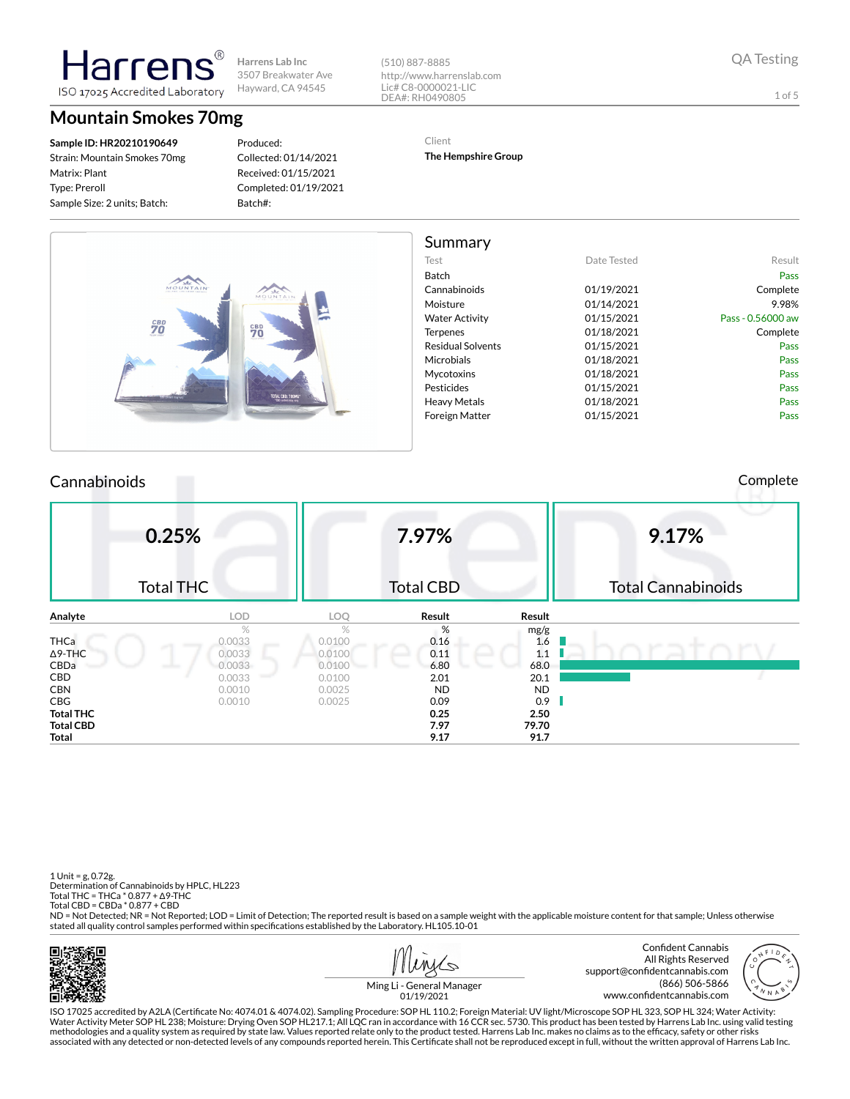(510) 887-8885 http://www.harrenslab.com Lic# C8-0000021-LIC DEA#: RH0490805

1 of 5

### **Mountain Smokes 70mg**

ISO 17025 Accredited Laboratory

Harren

**Sample ID: HR20210190649** Strain: Mountain Smokes 70mg Matrix: Plant Type: Preroll Sample Size: 2 units; Batch:

Produced: Collected: 01/14/2021 Received: 01/15/2021 Completed: 01/19/2021 Batch#:

Client

**The Hempshire Group**

|                   |             | Summary                  |                                                               |
|-------------------|-------------|--------------------------|---------------------------------------------------------------|
| Result            | Date Tested | Test                     |                                                               |
| Pass              |             | Batch                    |                                                               |
| Complete          | 01/19/2021  | Cannabinoids             | MOUNTAIN<br>MOUNTAIN                                          |
| 9.98%             | 01/14/2021  | Moisture                 |                                                               |
| Pass - 0.56000 aw | 01/15/2021  | <b>Water Activity</b>    |                                                               |
| Complete          | 01/18/2021  | Terpenes                 | $\overset{\scriptscriptstyle CBD}{70}$<br>$\frac{c_{BD}}{70}$ |
| Pass              | 01/15/2021  | <b>Residual Solvents</b> |                                                               |
| Pass              | 01/18/2021  | Microbials               |                                                               |
| Pass              | 01/18/2021  | Mycotoxins               |                                                               |
| Pass              | 01/15/2021  | Pesticides               |                                                               |
| Pass              | 01/18/2021  | <b>Heavy Metals</b>      | TOTAL CBD: 700MG*                                             |
| Pass              | 01/15/2021  | Foreign Matter           |                                                               |

#### Cannabinoids Complete

|                  | 0.25%<br><b>Total THC</b> |        | 7.97%<br><b>Total CBD</b> |        | 9.17%<br><b>Total Cannabinoids</b> |
|------------------|---------------------------|--------|---------------------------|--------|------------------------------------|
|                  |                           |        |                           |        |                                    |
| Analyte          | LOD                       | LOQ    | Result                    | Result |                                    |
|                  | %                         | $\%$   | %                         | mg/g   |                                    |
| <b>THCa</b>      | 0.0033                    | 0.0100 | 0.16                      | 1.6    |                                    |
| $\Delta$ 9-THC   | 0.0033                    | 0.0100 | 0.11                      | 1.1    |                                    |
| CBDa             | 0.0033<br>__              | 0.0100 | 6.80                      | 68.0   |                                    |
| CBD              | 0.0033                    | 0.0100 | 2.01                      | 20.1   |                                    |
| <b>CBN</b>       | 0.0010                    | 0.0025 | <b>ND</b>                 | ND.    |                                    |
| CBG              | 0.0010                    | 0.0025 | 0.09                      | 0.9    |                                    |
| <b>Total THC</b> |                           |        | 0.25                      | 2.50   |                                    |
| <b>Total CBD</b> |                           |        | 7.97                      | 79.70  |                                    |
| Total            |                           |        | 9.17                      | 91.7   |                                    |

1 Unit = g, 0.72g. Determination of Cannabinoids by HPLC, HL223 Total THC = THCa \* 0.877 + ∆9-THC Total CBD = CBDa \* 0.877 + CBD ND = Not Detected; NR = Not Reported; LOD = Limit of Detection; The reported result is based on a sample weight with the applicable moisture content for that sample; Unless otherwise stated all quality control samples performed within specifications established by the Laboratory. HL105.10-01

面带模

Confident Cannabis All Rights Reserved support@confidentcannabis.com (866) 506-5866 www.confidentcannabis.com



Ming Li - General Manager 01/19/2021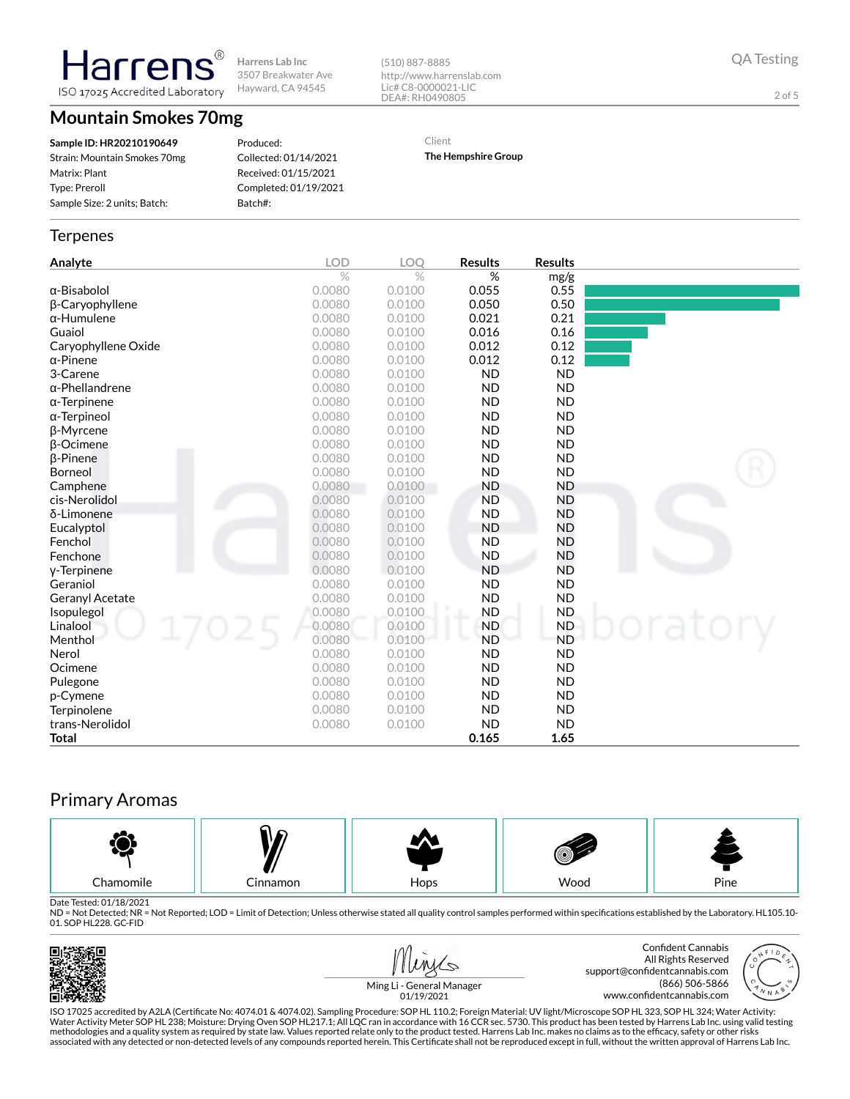**Harrens Lab Inc** 3507 Breakwater Ave Hayward, CA 94545 ISO 17025 Accredited Laboratory

**Mountain Smokes 70mg**

**Harrens** 

**Sample ID: HR20210190649** Strain: Mountain Smokes 70mg Matrix: Plant Type: Preroll Sample Size: 2 units; Batch:

Produced: Collected: 01/14/2021 Received: 01/15/2021 Completed: 01/19/2021 Batch#:

http://www.harrenslab.com Lic# C8-0000021-LIC DEA#: RH0490805

Client

(510) 887-8885

**The Hempshire Group**

### **Terpenes**

| Analyte                | LOD           | <b>LOO</b>    | <b>Results</b> | <b>Results</b> |       |
|------------------------|---------------|---------------|----------------|----------------|-------|
|                        | $\frac{1}{2}$ | $\frac{1}{2}$ | %              | mg/g           |       |
| $\alpha$ -Bisabolol    | 0.0080        | 0.0100        | 0.055          | 0.55           |       |
| <b>B-Caryophyllene</b> | 0.0080        | 0.0100        | 0.050          | 0.50           |       |
| $\alpha$ -Humulene     | 0.0080        | 0.0100        | 0.021          | 0.21           |       |
| Guaiol                 | 0.0080        | 0.0100        | 0.016          | 0.16           |       |
| Caryophyllene Oxide    | 0.0080        | 0.0100        | 0.012          | 0.12           |       |
| $\alpha$ -Pinene       | 0.0080        | 0.0100        | 0.012          | 0.12           |       |
| 3-Carene               | 0.0080        | 0.0100        | <b>ND</b>      | <b>ND</b>      |       |
| $\alpha$ -Phellandrene | 0.0080        | 0.0100        | <b>ND</b>      | <b>ND</b>      |       |
| $\alpha$ -Terpinene    | 0.0080        | 0.0100        | <b>ND</b>      | <b>ND</b>      |       |
| $\alpha$ -Terpineol    | 0.0080        | 0.0100        | <b>ND</b>      | <b>ND</b>      |       |
| <b>B-Myrcene</b>       | 0.0080        | 0.0100        | <b>ND</b>      | <b>ND</b>      |       |
| <b>B-Ocimene</b>       | 0.0080        | 0.0100        | <b>ND</b>      | <b>ND</b>      |       |
| $\beta$ -Pinene        | 0.0080        | 0.0100        | <b>ND</b>      | <b>ND</b>      |       |
| Borneol                | 0.0080        | 0.0100        | <b>ND</b>      | <b>ND</b>      |       |
| Camphene               | 0.0080        | 0.0100        | <b>ND</b>      | <b>ND</b>      |       |
| cis-Nerolidol          | 0.0080        | 0.0100        | <b>ND</b>      | <b>ND</b>      |       |
| δ-Limonene             | 0.0080        | 0.0100        | <b>ND</b>      | <b>ND</b>      |       |
| Eucalyptol             | 0.0080        | 0.0100        | <b>ND</b>      | <b>ND</b>      |       |
| Fenchol                | 0.0080        | 0.0100        | <b>ND</b>      | <b>ND</b>      |       |
| Fenchone               | 0.0080        | 0.0100        | <b>ND</b>      | <b>ND</b>      |       |
| y-Terpinene            | 0.0080        | 0.0100        | <b>ND</b>      | <b>ND</b>      |       |
| Geraniol               | 0.0080        | 0.0100        | <b>ND</b>      | <b>ND</b>      |       |
| Geranyl Acetate        | 0.0080        | 0.0100        | <b>ND</b>      | <b>ND</b>      |       |
| Isopulegol             | 0.0080        | 0.0100        | <b>ND</b>      | <b>ND</b>      |       |
| Linalool               | 0.0080        | 0.0100        | <b>ND</b>      | <b>ND</b>      | atory |
| Menthol                | 0.0080        | 0.0100        | <b>ND</b>      | <b>ND</b>      |       |
| Nerol                  | 0.0080        | 0.0100        | <b>ND</b>      | <b>ND</b>      |       |
| Ocimene                | 0.0080        | 0.0100        | <b>ND</b>      | <b>ND</b>      |       |
| Pulegone               | 0.0080        | 0.0100        | <b>ND</b>      | <b>ND</b>      |       |
| p-Cymene               | 0.0080        | 0.0100        | <b>ND</b>      | <b>ND</b>      |       |
| Terpinolene            | 0.0080        | 0.0100        | <b>ND</b>      | <b>ND</b>      |       |
| trans-Nerolidol        | 0.0080        | 0.0100        | <b>ND</b>      | <b>ND</b>      |       |
| <b>Total</b>           |               |               | 0.165          | 1.65           |       |

## Primary Aromas



Date Tested: 01/18/2021<br>ND = Not Detected; NR = Not Reported; LOD = Limit of Detection; Unless otherwise stated all quality control samples performed within specifications established by the Laboratory. HL105.10-01. SOP HL228. GC-FID



| Minis |
|-------|
|       |

Confident Cannabis All Rights Reserved support@confidentcannabis.com (866) 506-5866 www.confidentcannabis.com

2 of 5

Ming Li - General Manager 01/19/2021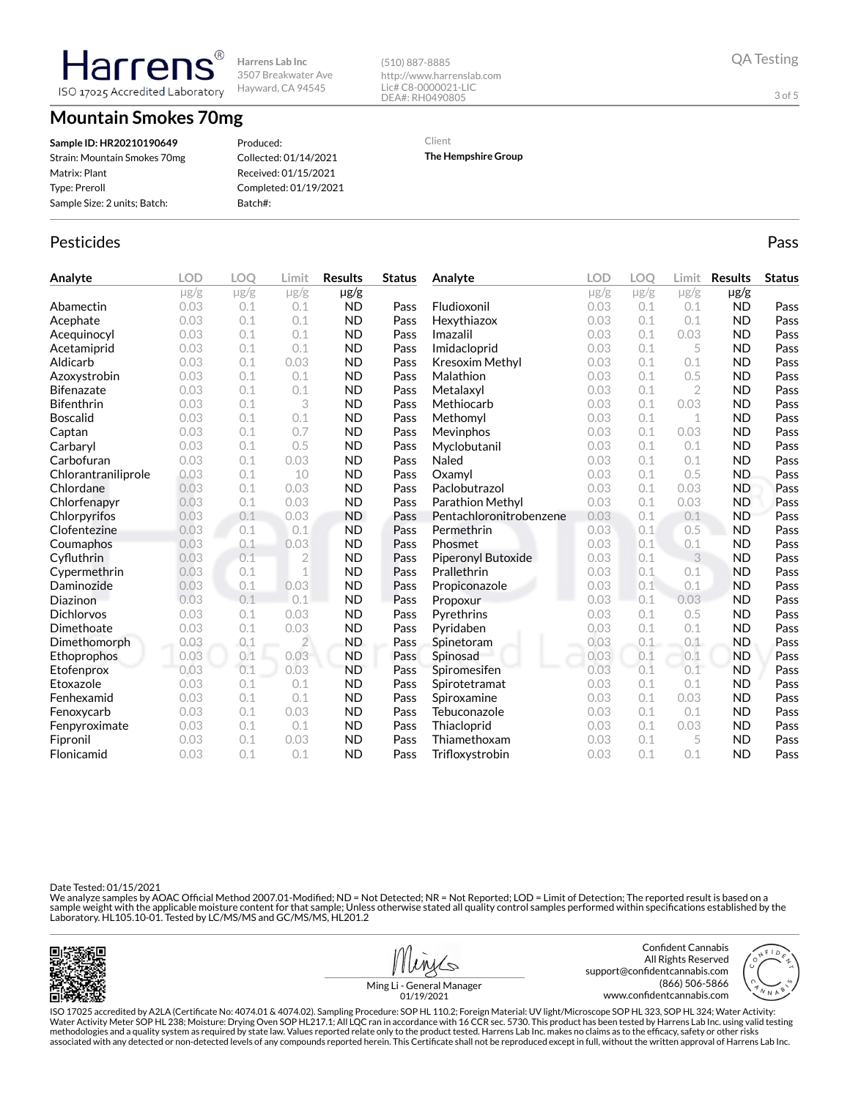**Mountain Smokes 70mg**

**Harrens** ISO 17025 Accredited Laboratory

**Sample ID: HR20210190649** Strain: Mountain Smokes 70mg Matrix: Plant Type: Preroll Sample Size: 2 units; Batch:

Produced: Collected: 01/14/2021 Received: 01/15/2021 Completed: 01/19/2021 Batch#:

DEA#: RH0490805

http://www.harrenslab.com Lic# C8-0000021-LIC

Client

(510) 887-8885

**The Hempshire Group**

# Pesticides **Passage Community Community Community** Passes and the extension of the extension of the extension of the extension of the extension of the extension of the extension of the extension of the extension of the ext

| Analyte             | LOD       | <b>LOO</b> | Limit          | <b>Results</b> | <b>Status</b> | Analyte                 | <b>LOD</b> | LOO       | Limit          | <b>Results</b> | <b>Status</b> |
|---------------------|-----------|------------|----------------|----------------|---------------|-------------------------|------------|-----------|----------------|----------------|---------------|
|                     | $\mu$ g/g | $\mu$ g/g  | $\mu$ g/g      | $\mu$ g/g      |               |                         | $\mu$ g/g  | $\mu$ g/g | $\mu$ g/g      | $\mu$ g/g      |               |
| Abamectin           | 0.03      | 0.1        | 0.1            | <b>ND</b>      | Pass          | Fludioxonil             | 0.03       | 0.1       | 0.1            | <b>ND</b>      | Pass          |
| Acephate            | 0.03      | 0.1        | 0.1            | <b>ND</b>      | Pass          | Hexythiazox             | 0.03       | 0.1       | 0.1            | <b>ND</b>      | Pass          |
| Acequinocyl         | 0.03      | 0.1        | 0.1            | <b>ND</b>      | Pass          | Imazalil                | 0.03       | 0.1       | 0.03           | <b>ND</b>      | Pass          |
| Acetamiprid         | 0.03      | 0.1        | 0.1            | <b>ND</b>      | Pass          | Imidacloprid            | 0.03       | 0.1       | 5              | <b>ND</b>      | Pass          |
| Aldicarb            | 0.03      | 0.1        | 0.03           | <b>ND</b>      | Pass          | Kresoxim Methyl         | 0.03       | 0.1       | 0.1            | <b>ND</b>      | Pass          |
| Azoxystrobin        | 0.03      | 0.1        | 0.1            | <b>ND</b>      | Pass          | Malathion               | 0.03       | 0.1       | 0.5            | <b>ND</b>      | Pass          |
| <b>Bifenazate</b>   | 0.03      | 0.1        | 0.1            | <b>ND</b>      | Pass          | Metalaxyl               | 0.03       | 0.1       | $\overline{2}$ | <b>ND</b>      | Pass          |
| <b>Bifenthrin</b>   | 0.03      | 0.1        | 3              | <b>ND</b>      | Pass          | Methiocarb              | 0.03       | 0.1       | 0.03           | <b>ND</b>      | Pass          |
| Boscalid            | 0.03      | 0.1        | 0.1            | <b>ND</b>      | Pass          | Methomyl                | 0.03       | 0.1       | 1              | <b>ND</b>      | Pass          |
| Captan              | 0.03      | 0.1        | 0.7            | <b>ND</b>      | Pass          | Mevinphos               | 0.03       | 0.1       | 0.03           | <b>ND</b>      | Pass          |
| Carbaryl            | 0.03      | 0.1        | 0.5            | <b>ND</b>      | Pass          | Myclobutanil            | 0.03       | 0.1       | 0.1            | <b>ND</b>      | Pass          |
| Carbofuran          | 0.03      | 0.1        | 0.03           | <b>ND</b>      | Pass          | Naled                   | 0.03       | 0.1       | 0.1            | <b>ND</b>      | Pass          |
| Chlorantraniliprole | 0.03      | 0.1        | 10             | <b>ND</b>      | Pass          | Oxamyl                  | 0.03       | 0.1       | 0.5            | <b>ND</b>      | Pass          |
| Chlordane           | 0.03      | 0.1        | 0.03           | <b>ND</b>      | Pass          | Paclobutrazol           | 0.03       | 0.1       | 0.03           | <b>ND</b>      | Pass          |
| Chlorfenapyr        | 0.03      | 0.1        | 0.03           | <b>ND</b>      | Pass          | Parathion Methyl        | 0.03       | 0.1       | 0.03           | <b>ND</b>      | Pass          |
| Chlorpyrifos        | 0.03      | 0.1        | 0.03           | <b>ND</b>      | Pass          | Pentachloronitrobenzene | 0.03       | 0.1       | 0.1            | <b>ND</b>      | Pass          |
| Clofentezine        | 0.03      | 0.1        | 0.1            | <b>ND</b>      | Pass          | Permethrin              | 0.03       | 0.1       | 0.5            | <b>ND</b>      | Pass          |
| Coumaphos           | 0.03      | 0.1        | 0.03           | <b>ND</b>      | Pass          | Phosmet                 | 0.03       | 0.1       | 0.1            | <b>ND</b>      | Pass          |
| Cyfluthrin          | 0.03      | 0.1        | $\overline{2}$ | <b>ND</b>      | Pass          | Piperonyl Butoxide      | 0.03       | 0.1       | 3              | <b>ND</b>      | Pass          |
| Cypermethrin        | 0.03      | 0.1        | 1              | <b>ND</b>      | Pass          | Prallethrin             | 0.03       | 0.1       | 0.1            | <b>ND</b>      | Pass          |
| Daminozide          | 0.03      | 0.1        | 0.03           | <b>ND</b>      | Pass          | Propiconazole           | 0.03       | 0.1       | 0.1            | <b>ND</b>      | Pass          |
| Diazinon            | 0.03      | 0.1        | 0.1            | <b>ND</b>      | Pass          | Propoxur                | 0.03       | 0.1       | 0.03           | <b>ND</b>      | Pass          |
| Dichlorvos          | 0.03      | 0.1        | 0.03           | <b>ND</b>      | Pass          | Pyrethrins              | 0.03       | 0.1       | 0.5            | <b>ND</b>      | Pass          |
| Dimethoate          | 0.03      | 0.1        | 0.03           | <b>ND</b>      | Pass          | Pyridaben               | 0.03       | 0.1       | 0.1            | <b>ND</b>      | Pass          |
| Dimethomorph        | 0.03      | 0.1        | $\overline{2}$ | <b>ND</b>      | Pass          | Spinetoram              | 0.03       | 0.1       | 0.1            | <b>ND</b>      | Pass          |
| <b>Ethoprophos</b>  | 0.03      | 0.1        | 0.03           | <b>ND</b>      | Pass          | Spinosad                | 0.03       | 0.1       | 0.1            | <b>ND</b>      | Pass          |
| Etofenprox          | 0.03      | 0.1        | 0.03           | <b>ND</b>      | Pass          | Spiromesifen            | 0.03       | 0.1       | 0.1            | <b>ND</b>      | Pass          |
| Etoxazole           | 0.03      | 0.1        | 0.1            | <b>ND</b>      | Pass          | Spirotetramat           | 0.03       | 0.1       | 0.1            | <b>ND</b>      | Pass          |
| Fenhexamid          | 0.03      | 0.1        | 0.1            | <b>ND</b>      | Pass          | Spiroxamine             | 0.03       | 0.1       | 0.03           | <b>ND</b>      | Pass          |
| Fenoxycarb          | 0.03      | 0.1        | 0.03           | <b>ND</b>      | Pass          | Tebuconazole            | 0.03       | 0.1       | 0.1            | <b>ND</b>      | Pass          |
| Fenpyroximate       | 0.03      | 0.1        | 0.1            | <b>ND</b>      | Pass          | Thiacloprid             | 0.03       | 0.1       | 0.03           | <b>ND</b>      | Pass          |
| Fipronil            | 0.03      | 0.1        | 0.03           | <b>ND</b>      | Pass          | Thiamethoxam            | 0.03       | 0.1       | 5              | <b>ND</b>      | Pass          |
| Flonicamid          | 0.03      | 0.1        | 0.1            | <b>ND</b>      | Pass          | Trifloxystrobin         | 0.03       | 0.1       | 0.1            | <b>ND</b>      | Pass          |

Date Tested: 01/15/2021

We analyze samples by AOAC Official Method 2007.01-Modified; ND = Not Detected; NR = Not Reported; LOD = Limit of Detection; The reported result is based on a sample weight with the applicable moisture content for that sample; Unless otherwise stated all quality control samples performed within specifications established by the<br>Laboratory. HL105.10-01. Tested by LC/MS/MS and GC/





Ming Li - General Manager

3 of 5

01/19/2021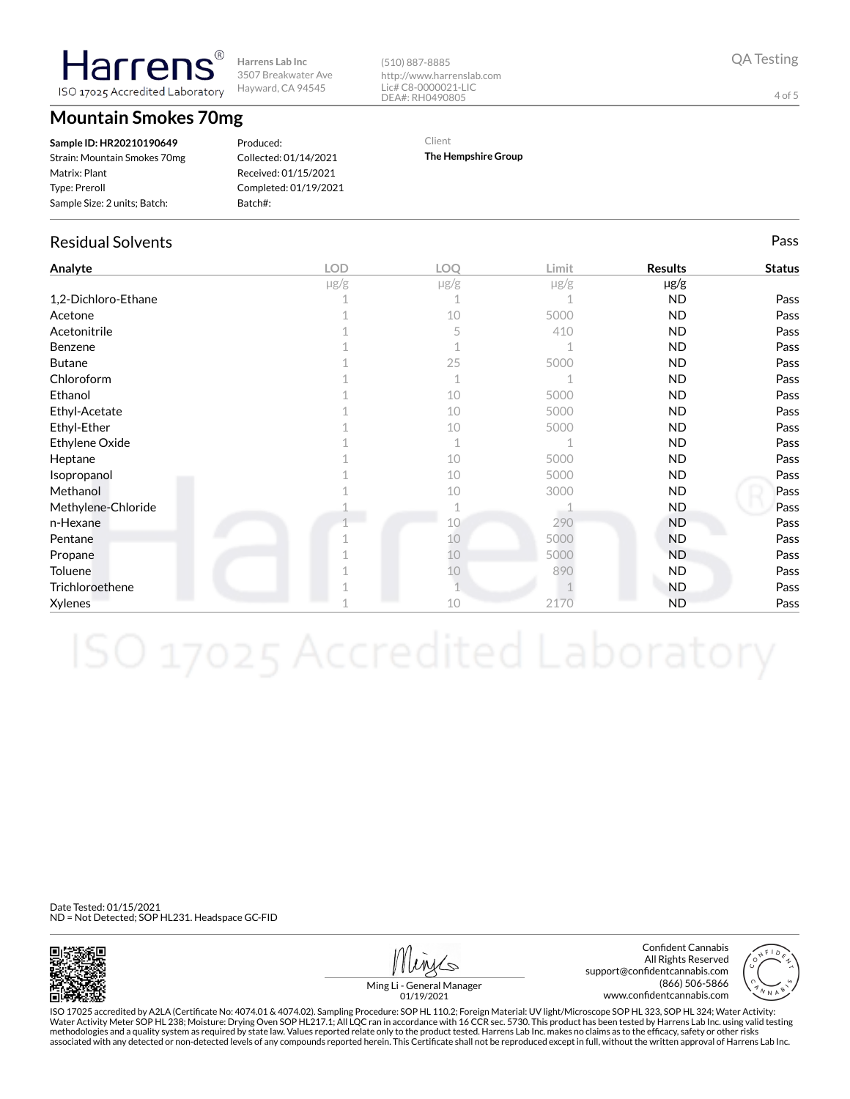**Mountain Smokes 70mg**

larren ISO 17025 Accredited Laboratory

| Sample ID: HR20210190649     |
|------------------------------|
| Strain: Mountain Smokes 70mg |
| Matrix: Plant                |
| <b>Type: Preroll</b>         |
| Sample Size: 2 units; Batch: |
|                              |

Produced: Collected: 01/14/2021 Received: 01/15/2021 Completed: 01/19/2021 Batch#:

#### (510) 887-8885 http://www.harrenslab.com Lic# C8-0000021-LIC DEA#: RH0490805

Client

Residual Solvents Pass

**Analyte LOD LOQ Limit Results Status**

1,2-Dichloro-Ethane 1 2 1 1 1  $\sqrt{1}$  1  $\sqrt{1}$  ND Pass Acetone 1 10 5000 ND Pass Acetonitrile 1 5 410 ND Pass Benzene  $\begin{array}{cccccccccccccc} & 1 & & & & 1 & & & & 1\end{array}$  ND Pass Butane  $\begin{array}{ccccccc} 1 & 25 & 5000 & & & {\bf ND} & & & \end{array}$  Pass

**The Hempshire Group**

µg/g µg/g µg/g µg/g

QA Testing

4 of 5

| Chloroform         |    |      | <b>ND</b> | Pass |
|--------------------|----|------|-----------|------|
| Ethanol            | 10 | 5000 | <b>ND</b> | Pass |
| Ethyl-Acetate      | 10 | 5000 | <b>ND</b> | Pass |
| Ethyl-Ether        | 10 | 5000 | ND.       | Pass |
| Ethylene Oxide     |    |      | <b>ND</b> | Pass |
| Heptane            | 10 | 5000 | <b>ND</b> | Pass |
| Isopropanol        | 10 | 5000 | ND.       | Pass |
| Methanol           | 10 | 3000 | <b>ND</b> | Pass |
| Methylene-Chloride |    |      | <b>ND</b> | Pass |
| n-Hexane           | 10 | 290  | ND.       | Pass |
| Pentane            | 10 | 5000 | <b>ND</b> | Pass |
| Propane            | 10 | 5000 | <b>ND</b> | Pass |
| Toluene            | 10 | 890  | <b>ND</b> | Pass |
| Trichloroethene    |    |      | <b>ND</b> | Pass |
|                    |    |      |           |      |

 $\lambda$ ylenes ND Pass and  $\lambda$  10  $\lambda$  2170 ND Pass and  $\lambda$ 

Date Tested: 01/15/2021 ND = Not Detected; SOP HL231. Headspace GC-FID



Confident Cannabis All Rights Reserved support@confidentcannabis.com (866) 506-5866 www.confidentcannabis.com



Ming Li - General Manager 01/19/2021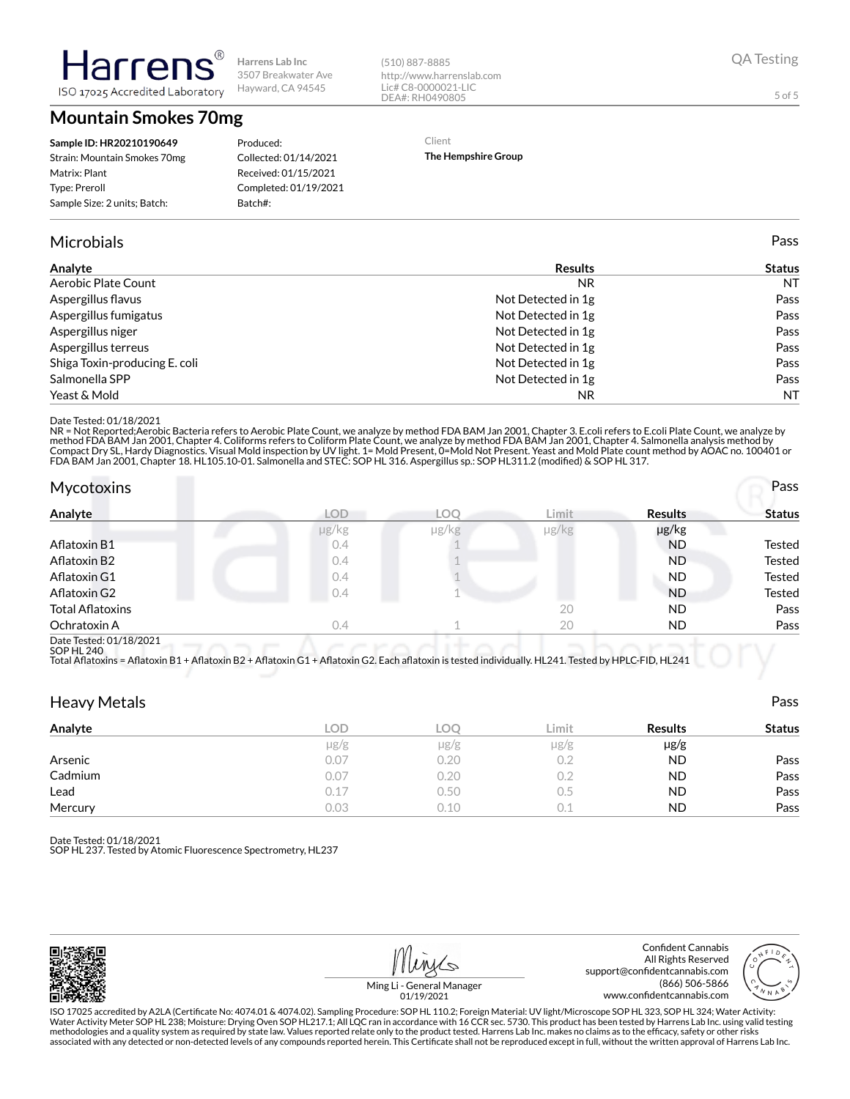**Mountain Smokes 70mg**

ISO 17025 Accredited Laboratory

Harrer

#### Produced: Collected: 01/14/2021 Received: 01/15/2021 Completed: 01/19/2021 Batch#:

#### Microbials Pass

| Analyte                       | <b>Results</b>     | <b>Status</b> |
|-------------------------------|--------------------|---------------|
| Aerobic Plate Count           | NR.                | NT.           |
| Aspergillus flavus            | Not Detected in 1g | Pass          |
| Aspergillus fumigatus         | Not Detected in 1g | Pass          |
| Aspergillus niger             | Not Detected in 1g | Pass          |
| Aspergillus terreus           | Not Detected in 1g | Pass          |
| Shiga Toxin-producing E. coli | Not Detected in 1g | Pass          |
| Salmonella SPP                | Not Detected in 1g | Pass          |
| Yeast & Mold                  | NR.                | NT.           |

(510) 887-8885

http://www.harrenslab.com Lic# C8-0000021-LIC DEA#: RH0490805

Client

**The Hempshire Group**

#### Date Tested: 01/18/2021

NR = Not Reported;Aerobic Bacteria refers to Aerobic Plate Count, we analyze by method FDA BAM Jan 2001, Chapter 3. E.coli refers to E.coli Plate Count, we analyze by<br>method FDA BAM Jan 2001, Chapter 4. Coliforms refers to

| <b>Mycotoxins</b>       |            |       |       |                | Pass   |
|-------------------------|------------|-------|-------|----------------|--------|
| Analyte                 | <b>LOD</b> | LOO   | Limit | <b>Results</b> | Status |
|                         | µg/kg      | µg/kg | µg/kg | µg/kg          |        |
| Aflatoxin B1            | 0.4        |       |       | <b>ND</b>      | Tested |
| Aflatoxin B2            | 0.4        |       |       | <b>ND</b>      | Tested |
| Aflatoxin G1            | 0.4        |       |       | <b>ND</b>      | Tested |
| Aflatoxin G2            | 0.4        |       |       | <b>ND</b>      | Tested |
| <b>Total Aflatoxins</b> |            |       | 20    | <b>ND</b>      | Pass   |
| Ochratoxin A            | 0.4        |       | 20    | ND             | Pass   |
| Deta Tested: 01/10/0001 |            |       |       |                |        |

Date Tested: 01/18/2021 SOP HL 240

Total Aflatoxins = Aflatoxin B1 + Aflatoxin B2 + Aflatoxin G1 + Aflatoxin G2. Each aflatoxin is tested individually. HL241. Tested by HPLC-FID, HL241

| <b>Heavy Metals</b> |            |            |           |                | Pass          |
|---------------------|------------|------------|-----------|----------------|---------------|
| Analyte             | <b>LOD</b> | <b>LOC</b> | Limit     | <b>Results</b> | <b>Status</b> |
|                     | $\mu$ g/g  | $\mu$ g/g  | $\mu$ g/g | $\mu$ g/g      |               |
| Arsenic             | 0.07       | 0.20       | 0.2       | <b>ND</b>      | Pass          |
| Cadmium             | 0.07       | 0.20       | 0.2       | <b>ND</b>      | Pass          |
| Lead                | 0.17       | 0.50       | 0.5       | <b>ND</b>      | Pass          |
| Mercury             | 0.03       | 0.10       | 0.1       | <b>ND</b>      | Pass          |

Date Tested: 01/18/2021

SOP HL 237. Tested by Atomic Fluorescence Spectrometry, HL237

Confident Cannabis All Rights Reserved support@confidentcannabis.com (866) 506-5866

www.confidentcannabis.com

Ming Li - General Manager 01/19/2021

ISO 17025 accredited by A2LA (Certificate No: 4074.01 & 4074.02). Sampling Procedure: SOP HL 110.2; Foreign Material: UV light/Microscope SOP HL 323, SOP HL 324; Water Activity: Water Activity Meter SOP HL 238; Moisture: Drying Oven SOP HL217.1; All LQC ran in accordance with 16 CCR sec. 5730. This product has been tested by Harrens Lab Inc. using valid testing methodologies and a quality system as required by state law. Values reported relate only to the product tested. Harrens Lab Inc. makes no claims as to the efficacy, safety or other risks<br>associated with any detected or non

5 of 5



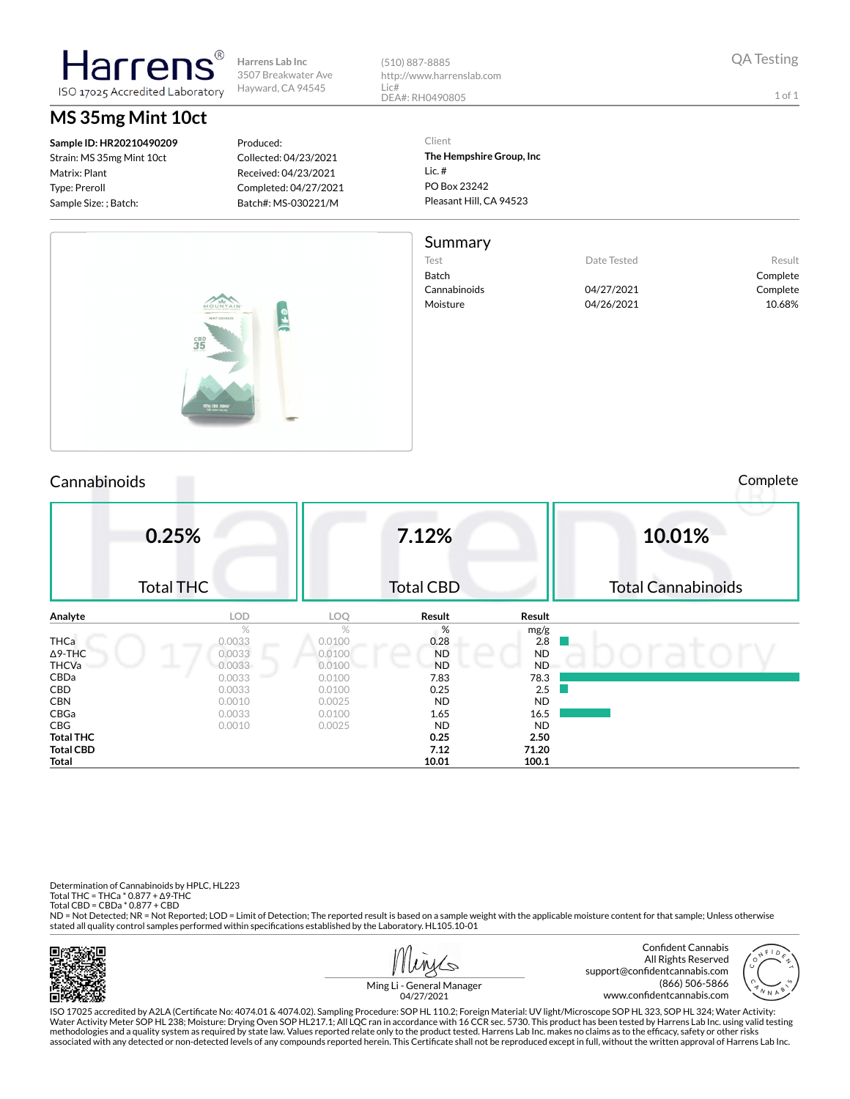(510) 887-8885 http://www.harrenslab.com Lic# DEA#: RH0490805

1 of 1

**Sample ID: HR20210490209** Strain: MS 35mg Mint 10ct

Matrix: Plant Type: Preroll Sample Size: ; Batch:

## **MS 35mg Mint 10ct**

larrer

ISO 17025 Accredited Laboratory

Produced: Collected: 04/23/2021 Received: 04/23/2021 Completed: 04/27/2021 Batch#: MS-030221/M

Client **The Hempshire Group, Inc** Lic. # PO Box 23242 Pleasant Hill, CA 94523

#### Summary

Test **Date Tested** Result Batch Complete Cannabinoids 04/27/2021 Complete Moisture 04/26/2021 10.68%



### Cannabinoids Complete

|                  | 0.25%<br><b>Total THC</b> |        | 7.12%<br><b>Total CBD</b> |             | 10.01%<br><b>Total Cannabinoids</b> |
|------------------|---------------------------|--------|---------------------------|-------------|-------------------------------------|
| Analyte          | <b>LOD</b>                | LOQ    | Result                    | Result      |                                     |
|                  | $\%$                      | $\%$   | %                         |             |                                     |
| <b>THCa</b>      | 0.0033                    | 0.0100 | 0.28                      | mg/g<br>2.8 |                                     |
| $\Delta$ 9-THC   | 0.0033                    | 0.0100 | <b>ND</b>                 | <b>ND</b>   |                                     |
| <b>THCVa</b>     | 0.0033                    | 0.0100 | <b>ND</b>                 | <b>ND</b>   |                                     |
| CBDa             | 0.0033                    | 0.0100 | 7.83                      | 78.3        |                                     |
| CBD              | 0.0033                    | 0.0100 | 0.25                      | 2.5         |                                     |
| <b>CBN</b>       | 0.0010                    | 0.0025 | <b>ND</b>                 | <b>ND</b>   |                                     |
| CBGa             | 0.0033                    | 0.0100 | 1.65                      | 16.5        |                                     |
| <b>CBG</b>       | 0.0010                    | 0.0025 | <b>ND</b>                 | <b>ND</b>   |                                     |
| <b>Total THC</b> |                           |        | 0.25                      | 2.50        |                                     |
| <b>Total CBD</b> |                           |        | 7.12                      | 71.20       |                                     |
| Total            |                           |        | 10.01                     | 100.1       |                                     |

Determination of Cannabinoids by HPLC, HL223 Total THC = THCa \* 0.877 + ∆9-THC Total CBD = CBDa \* 0.877 + CBD

ND = Not Detected; NR = Not Reported; LOD = Limit of Detection; The reported result is based on a sample weight with the applicable moisture content for that sample; Unless otherwise stated all quality control samples performed within specifications established by the Laboratory. HL105.10-01





Ming Li - General Manager 04/27/2021